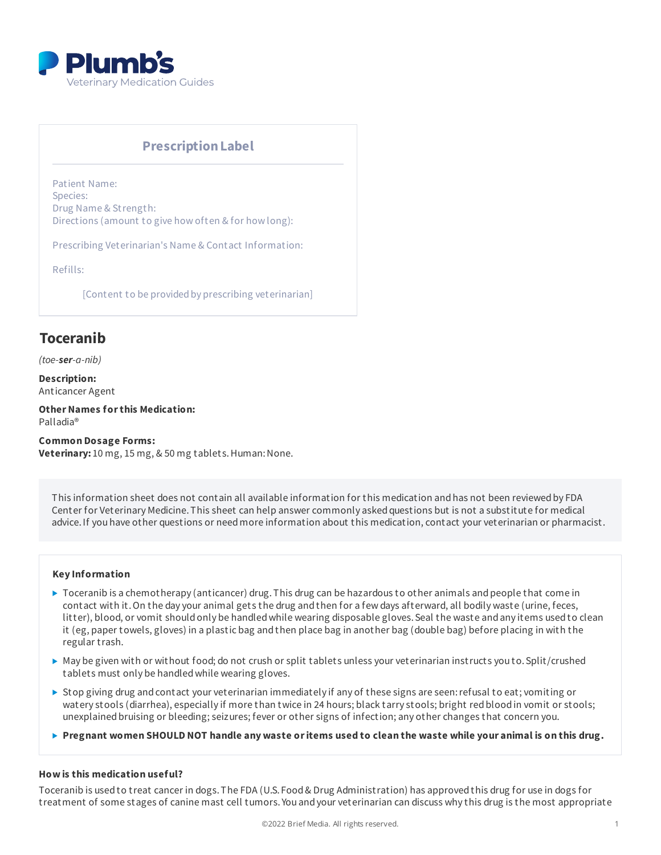

# **PrescriptionLabel**

Patient Name: Species: Drug Name & Strength: Directions (amount to give how often & for how long):

Prescribing Veterinarian's Name & Contact Information:

Refills:

[Content to be provided by prescribing veterinarian]

# **Toceranib**

*(toe-ser-a-nib)*

**Description:** Anticancer Agent

**OtherNames forthis Medication:** Palladia®

**Common Dosage Forms: Veterinary:** 10 mg, 15 mg, & 50 mg tablets. Human: None.

This information sheet does not contain all available information for this medication and has not been reviewed by FDA Center for Veterinary Medicine. This sheet can help answer commonly asked questions but is not a substitute for medical advice.If you have other questions or needmore information about this medication, contact your veterinarian or pharmacist.

#### **Key Information**

- $\triangleright$  Toceranib is a chemotherapy (anticancer) drug. This drug can be hazardous to other animals and people that come in contact with it.On the day your animal gets the drug andthen for a few days afterward, all bodily waste (urine, feces, litter), blood, or vomit shouldonly be handledwhile wearing disposable gloves.Seal the waste andany items usedto clean it (eg, paper towels, gloves) in a plastic bag andthen place bag in another bag (double bag) before placing in with the regular trash.
- $\blacktriangleright$  May be given with or without food; do not crush or split tablets unless your veterinarian instructs you to. Split/crushed tablets must only be handledwhile wearing gloves.
- $\triangleright$  Stop giving drug and contact your veterinarian immediately if any of these signs are seen: refusal to eat; vomiting or watery stools (diarrhea), especially if more than twice in 24 hours; black tarry stools; bright red blood in vomit or stools; unexplained bruising or bleeding; seizures; fever or other signs of infection; any other changes that concern you.
- $\triangleright$  Pregnant women SHOULD NOT handle any waste or items used to clean the waste while your animal is on this drug.

#### **How is this medication useful?**

Toceranib is usedto treat cancer in dogs.The FDA (U.S. Food& Drug Administration) has approvedthis drug for use in dogs for treatment of some stages of canine mast cell tumors. You andyour veterinarian can discuss why this drug is the most appropriate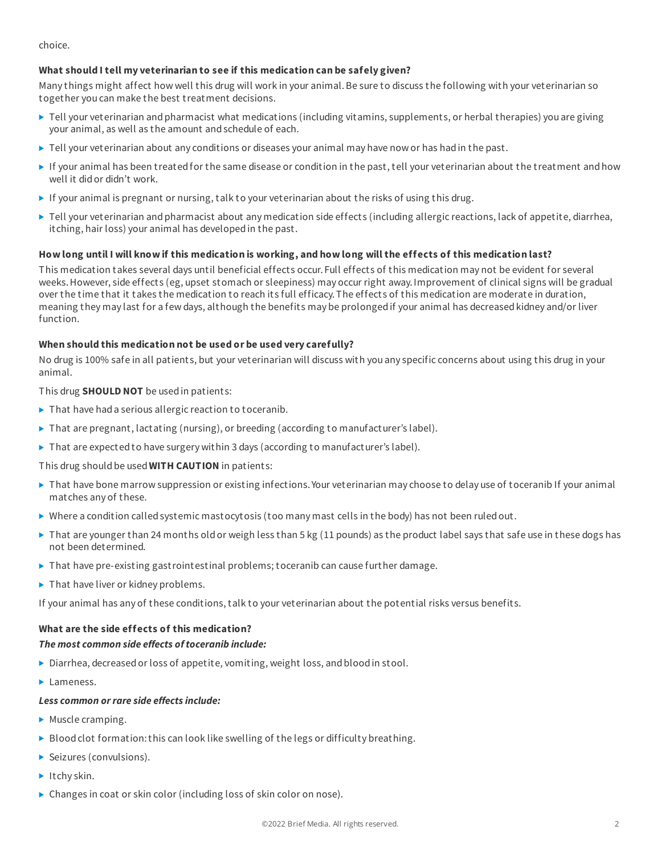choice.

# **What should I tell my veterinarian to see if this medication can be safely given?**

Many things might affect how well this drug will work in your animal.Be sure to discuss the following with your veterinarian so together you can make the best treatment decisions.

- ▶ Tell your veterinarian and pharmacist what medications (including vitamins, supplements, or herbal therapies) you are giving your animal, as well as the amount and schedule of each.
- $\blacktriangleright$  Tell your veterinarian about any conditions or diseases your animal may have now or has had in the past.
- If your animal has been treatedfor the same disease or condition in the past, tell your veterinarian about the treatment andhow well it didor didn't work.
- If your animal is pregnant or nursing, talk to your veterinarian about the risks of using this drug.
- ▶ Tell your veterinarian and pharmacist about any medication side effects (including allergic reactions, lack of appetite, diarrhea, itching, hair loss) your animal has developedin the past.

### How long until I will know if this medication is working, and how long will the effects of this medication last?

This medication takes several days until beneficial effects occur. Full effects of this medication may not be evident for several weeks.However, side effects (eg, upset stomach or sleepiness) may occur right away.Improvement of clinical signs will be gradual over the time that it takes the medication to reach its full efficacy.The effects of this medication are moderate in duration, meaning they may last for a few days, although the benefits may be prolongedif your animal has decreasedkidney and/or liver function.

### **When should this medication not be used or be used very carefully?**

No drug is 100% safe in all patients, but your veterinarian will discuss with you any specific concerns about using this drug in your animal.

This drug **SHOULD NOT** be usedin patients:

- $\blacktriangleright$  That have had a serious allergic reaction to toceranib.
- $\triangleright$  That are pregnant, lactating (nursing), or breeding (according to manufacturer's label).
- $\triangleright$  That are expected to have surgery within 3 days (according to manufacturer's label).

This drug shouldbe used**WITH CAUTION** in patients:

- ▶ That have bone marrow suppression or existing infections. Your veterinarian may choose to delay use of toceranib If your animal matches any of these.
- $\triangleright$  Where a condition called systemic mastocytosis (too many mast cells in the body) has not been ruled out.
- ▶ That are younger than 24 months old or weigh less than 5 kg (11 pounds) as the product label says that safe use in these dogs has not been determined.
- $\blacktriangleright$  That have pre-existing gastrointestinal problems; toceranib can cause further damage.
- $\blacktriangleright$  That have liver or kidney problems.

If your animal has any of these conditions, talk to your veterinarian about the potential risks versus benefits.

# **What are the side effects of this medication?**

#### *The most common side effects oftoceranib include:*

- $\triangleright$  Diarrhea, decreased or loss of appetite, vomiting, weight loss, and blood in stool.
- $\blacktriangleright$  Lameness.

#### *Less common orrare side effects include:*

- $\blacktriangleright$  Muscle cramping.
- $\triangleright$  Blood clot formation: this can look like swelling of the legs or difficulty breathing.
- Seizures (convulsions).
- $\blacktriangleright$  Itchy skin.
- ▶ Changes in coat or skin color (including loss of skin color on nose).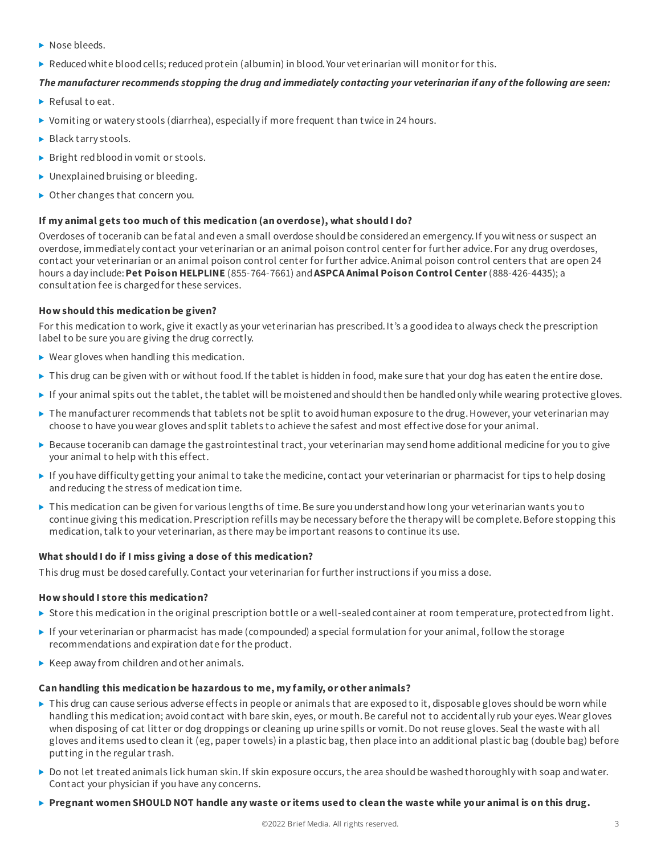- Nose bleeds.
- $\triangleright$  Reduced white blood cells; reduced protein (albumin) in blood. Your veterinarian will monitor for this.

# The manufacturer recommends stopping the drug and immediately contacting your veterinarian if any of the following are seen:

- ▶ Refusal to eat.
- Vomiting or watery stools (diarrhea), especially if more frequent than twice in 24 hours.
- ▶ Black tarry stools.
- Bright red blood in vomit or stools.
- $\blacktriangleright$  Unexplained bruising or bleeding.
- ▶ Other changes that concern you.

# **If my animal gets too much of this medication (an overdose), what should I do?**

Overdoses of toceranib can be fatal and even a small overdose should be considered an emergency. If you witness or suspect an overdose, immediately contact your veterinarian or an animal poison control center for further advice. For any drug overdoses, contact your veterinarian or an animal poison control center for further advice.Animal poison control centers that are open 24 hours a day include:**Pet Poison HELPLINE** (855-764-7661) and**ASPCA Animal Poison Control Center**(888-426-4435); a consultation fee is chargedfor these services.

# **How should this medication be given?**

For this medication to work, give it exactly as your veterinarian has prescribed.It's a goodidea to always check the prescription label to be sure you are giving the drug correctly.

- ▶ Wear gloves when handling this medication.
- ▶ This drug can be given with or without food. If the tablet is hidden in food, make sure that your dog has eaten the entire dose.
- If your animal spits out the tablet, the tablet will be moistened and should then be handled only while wearing protective gloves.
- $\triangleright$  The manufacturer recommends that tablets not be split to avoid human exposure to the drug. However, your veterinarian may choose to have youwear gloves andsplit tablets to achieve the safest andmost effective dose for your animal.
- Because toceranib can damage the gastrointestinal tract, your veterinarian may sendhome additional medicine for you to give your animal to help with this effect.
- If you have difficulty getting your animal to take the medicine, contact your veterinarian or pharmacist for tips to help dosing and reducing the stress of medication time.
- $\triangleright$  This medication can be given for various lengths of time. Be sure you understand how long your veterinarian wants you to continue giving this medication. Prescription refills may be necessary before the therapy will be complete. Before stopping this medication, talk to your veterinarian, as there may be important reasons to continue its use.

# **What should I do if I miss giving a dose of this medication?**

This drug must be dosedcarefully.Contact your veterinarian for further instructions if you miss a dose.

# **How should I store this medication?**

- $\triangleright$  Store this medication in the original prescription bottle or a well-sealed container at room temperature, protected from light.
- If your veterinarian or pharmacist has made (compounded) a special formulation for your animal, follow the storage recommendations andexpiration date for the product.
- $\blacktriangleright$  Keep away from children and other animals.

# **Can handling this medication be hazardous to me, my family, or other animals?**

- $\triangleright$  This drug can cause serious adverse effects in people or animals that are exposed to it, disposable gloves should be worn while handling this medication; avoid contact with bare skin, eyes, or mouth. Be careful not to accidentally rub your eyes. Wear gloves when disposing of cat litter or dog droppings or cleaning up urine spills or vomit. Do not reuse gloves. Seal the waste with all gloves anditems usedto clean it (eg, paper towels) in a plastic bag, then place into an additional plastic bag (double bag) before putting in the regular trash.
- $\triangleright$  Do not let treated animals lick human skin. If skin exposure occurs, the area should be washed thoroughly with soap and water. Contact your physician if you have any concerns.
- $\triangleright$  Pregnant women SHOULD NOT handle any waste or items used to clean the waste while your animal is on this drug.